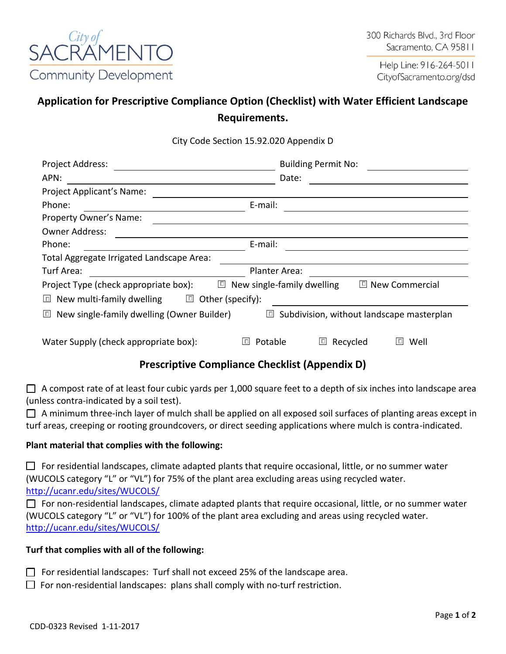

Help Line: 916-264-5011 CityofSacramento.org/dsd

# **Application for Prescriptive Compliance Option (Checklist) with Water Efficient Landscape Requirements.**

City Code Section 15.92.020 Appendix D

| Project Address:                                                                                            | <b>Building Permit No:</b> |
|-------------------------------------------------------------------------------------------------------------|----------------------------|
| APN:                                                                                                        | Date:                      |
| Project Applicant's Name:                                                                                   |                            |
| E-mail:<br>Phone:                                                                                           |                            |
| Property Owner's Name:                                                                                      |                            |
| <b>Owner Address:</b>                                                                                       |                            |
| E-mail:<br>Phone:                                                                                           |                            |
| Total Aggregate Irrigated Landscape Area:                                                                   |                            |
| Turf Area:                                                                                                  | Planter Area:              |
| $\Box$<br>New single-family dwelling<br>回 New Commercial<br>Project Type (check appropriate box):           |                            |
| $\Box$<br>New multi-family dwelling<br>Other (specify):<br>$\Box$                                           |                            |
| New single-family dwelling (Owner Builder)<br>$\Box$<br>Subdivision, without landscape masterplan<br>$\Box$ |                            |
| Potable<br>Water Supply (check appropriate box):                                                            | Well<br>Recycled<br>$\Box$ |

## **Prescriptive Compliance Checklist (Appendix D)**

 $\Box$  A compost rate of at least four cubic yards per 1,000 square feet to a depth of six inches into landscape area (unless contra-indicated by a soil test).

 $\Box$  A minimum three-inch layer of mulch shall be applied on all exposed soil surfaces of planting areas except in turf areas, creeping or rooting groundcovers, or direct seeding applications where mulch is contra-indicated.

#### **Plant material that complies with the following:**

 $\Box$  For residential landscapes, climate adapted plants that require occasional, little, or no summer water (WUCOLS category "L" or "VL") for 75% of the plant area excluding areas using recycled water. <http://ucanr.edu/sites/WUCOLS/>

□ For non-residential landscapes, climate adapted plants that require occasional, little, or no summer water (WUCOLS category "L" or "VL") for 100% of the plant area excluding and areas using recycled water. <http://ucanr.edu/sites/WUCOLS/>

#### **Turf that complies with all of the following:**

- □ For residential landscapes: Turf shall not exceed 25% of the landscape area.
- $\Box$  For non-residential landscapes: plans shall comply with no-turf restriction.